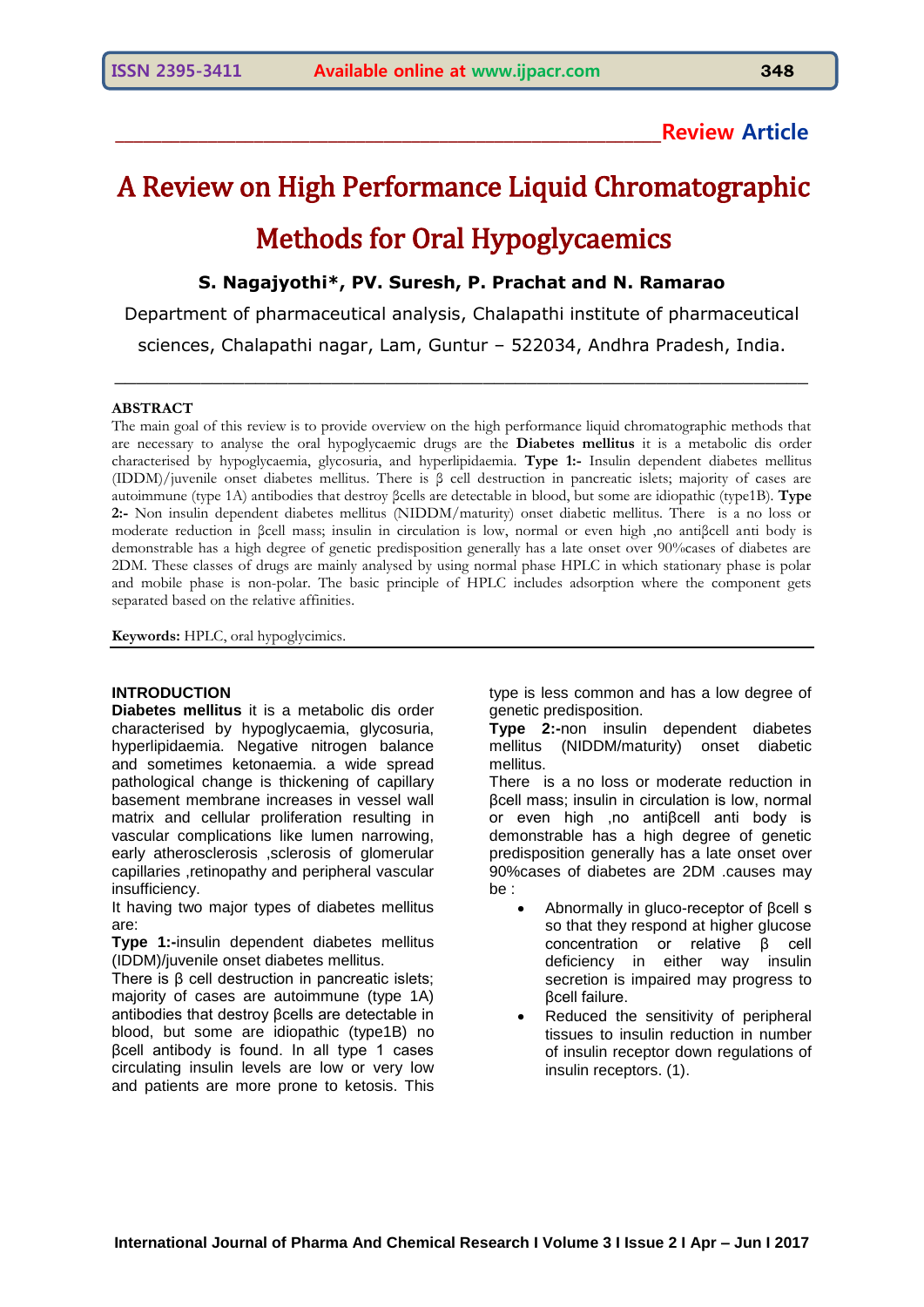# **\_\_\_\_\_\_\_\_\_\_\_\_\_\_\_\_\_\_\_\_\_\_\_\_\_\_\_\_\_\_\_\_\_\_\_\_\_\_\_\_\_\_\_\_\_\_\_\_\_\_\_\_\_\_\_\_\_\_\_Review Article**

# A Review on High Performance Liquid Chromatographic Methods for Oral Hypoglycaemics

## **S. Nagajyothi\*, PV. Suresh, P. Prachat and N. Ramarao**

Department of pharmaceutical analysis, Chalapathi institute of pharmaceutical sciences, Chalapathi nagar, Lam, Guntur – 522034, Andhra Pradesh, India.

 $\_$  , and the contribution of the contribution of  $\mathcal{L}_\mathcal{A}$  , and the contribution of  $\mathcal{L}_\mathcal{A}$ 

#### **ABSTRACT**

The main goal of this review is to provide overview on the high performance liquid chromatographic methods that are necessary to analyse the oral hypoglycaemic drugs are the **Diabetes mellitus** it is a metabolic dis order characterised by hypoglycaemia, glycosuria, and hyperlipidaemia. **Type 1:-** Insulin dependent diabetes mellitus (IDDM)/juvenile onset diabetes mellitus. There is β cell destruction in pancreatic islets; majority of cases are autoimmune (type 1A) antibodies that destroy βcells are detectable in blood, but some are idiopathic (type1B). **Type 2:-** Non insulin dependent diabetes mellitus (NIDDM/maturity) onset diabetic mellitus. There is a no loss or moderate reduction in βcell mass; insulin in circulation is low, normal or even high ,no antiβcell anti body is demonstrable has a high degree of genetic predisposition generally has a late onset over 90%cases of diabetes are 2DM. These classes of drugs are mainly analysed by using normal phase HPLC in which stationary phase is polar and mobile phase is non-polar. The basic principle of HPLC includes adsorption where the component gets separated based on the relative affinities.

**Keywords:** HPLC, oral hypoglycimics.

#### **INTRODUCTION**

**Diabetes mellitus** it is a metabolic dis order characterised by hypoglycaemia, glycosuria, hyperlipidaemia. Negative nitrogen balance and sometimes ketonaemia. a wide spread pathological change is thickening of capillary basement membrane increases in vessel wall matrix and cellular proliferation resulting in vascular complications like lumen narrowing, early atherosclerosis ,sclerosis of glomerular capillaries ,retinopathy and peripheral vascular insufficiency.

It having two major types of diabetes mellitus are:

**Type 1:-**insulin dependent diabetes mellitus (IDDM)/juvenile onset diabetes mellitus.

There is β cell destruction in pancreatic islets; majority of cases are autoimmune (type 1A) antibodies that destroy βcells are detectable in blood, but some are idiopathic (type1B) no βcell antibody is found. In all type 1 cases circulating insulin levels are low or very low and patients are more prone to ketosis. This

type is less common and has a low degree of genetic predisposition.

**Type 2:-**non insulin dependent diabetes mellitus (NIDDM/maturity) onset diabetic mellitus.

There is a no loss or moderate reduction in βcell mass; insulin in circulation is low, normal or even high ,no antiβcell anti body is demonstrable has a high degree of genetic predisposition generally has a late onset over 90%cases of diabetes are 2DM .causes may be :

- Abnormally in gluco-receptor of βcell s so that they respond at higher glucose concentration or relative β cell deficiency in either way insulin secretion is impaired may progress to βcell failure.
- Reduced the sensitivity of peripheral tissues to insulin reduction in number of insulin receptor down regulations of insulin receptors. (1).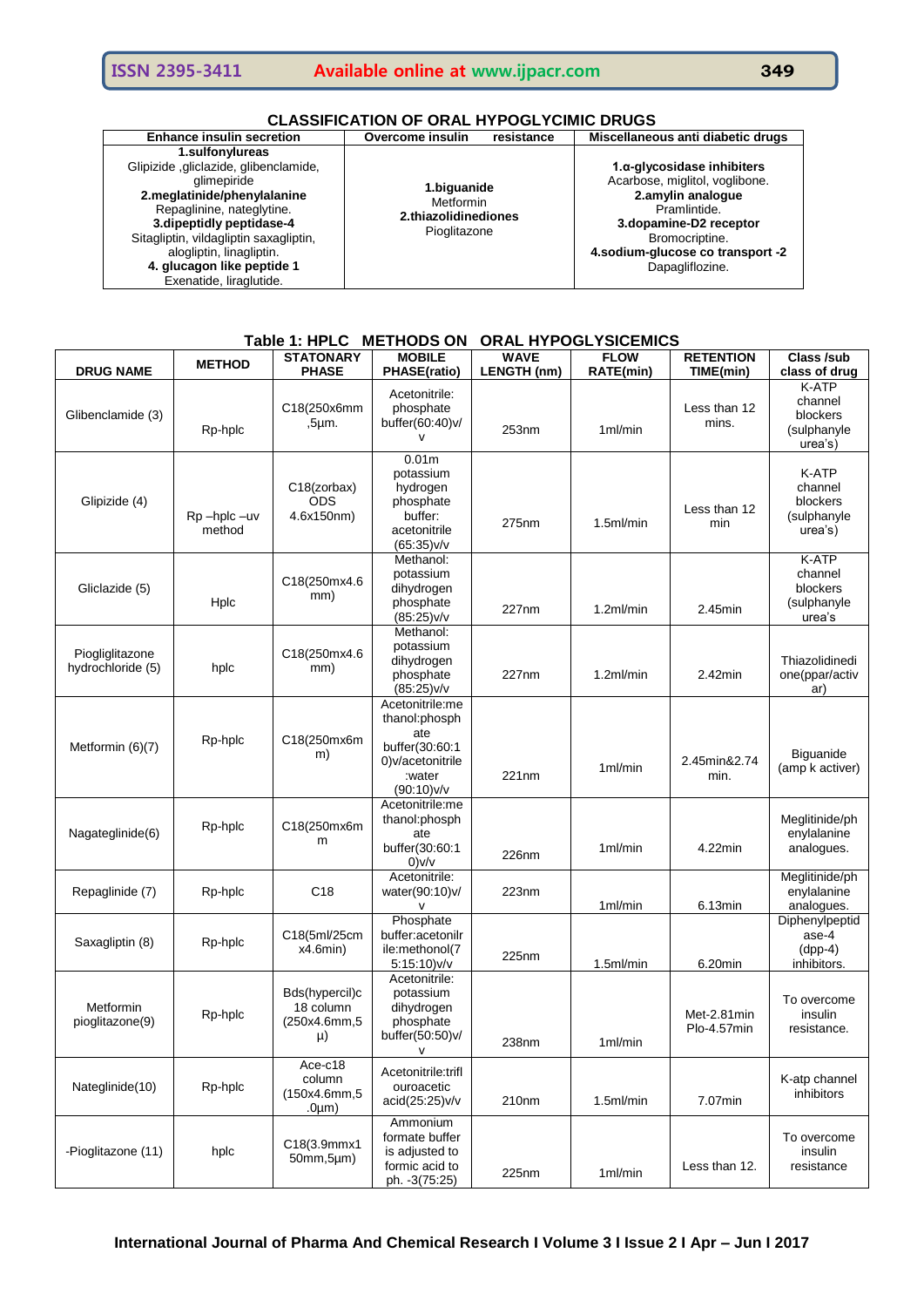| <b>Enhance insulin secretion</b>                                                                                                                                                                                                                                                                | Overcome insulin<br>resistance                                   | Miscellaneous anti diabetic drugs                                                                                                                                                                            |
|-------------------------------------------------------------------------------------------------------------------------------------------------------------------------------------------------------------------------------------------------------------------------------------------------|------------------------------------------------------------------|--------------------------------------------------------------------------------------------------------------------------------------------------------------------------------------------------------------|
| 1.sulfonylureas<br>Glipizide, gliclazide, glibenclamide,<br>alimepiride<br>2.meglatinide/phenylalanine<br>Repaglinine, nateglytine.<br>3. dipeptidly peptidase-4<br>Sitagliptin, vildagliptin saxagliptin,<br>alogliptin, linagliptin.<br>4. glucagon like peptide 1<br>Exenatide, liraglutide. | 1.biguanide<br>Metformin<br>2.thiazolidinediones<br>Pioglitazone | $1.\alpha$ -glycosidase inhibiters<br>Acarbose, miglitol, voglibone.<br>2.amylin analogue<br>Pramlintide.<br>3.dopamine-D2 receptor<br>Bromocriptine.<br>4.sodium-glucose co transport -2<br>Dapagliflozine. |

## **Table 1: HPLC METHODS ON ORAL HYPOGLYSICEMICS**

| <b>DRUG NAME</b>                     | <b>METHOD</b>        | <b>STATONARY</b><br><b>PHASE</b>                     | <b>MOBILE</b><br>PHASE(ratio)                                                                         | <b>WAVE</b><br>LENGTH (nm) | <b>FLOW</b><br><b>RATE(min)</b> | <b>RETENTION</b><br>TIME(min) | Class /sub<br>class of drug                            |
|--------------------------------------|----------------------|------------------------------------------------------|-------------------------------------------------------------------------------------------------------|----------------------------|---------------------------------|-------------------------------|--------------------------------------------------------|
| Glibenclamide (3)                    | Rp-hplc              | C18(250x6mm<br>$,5 \mu m.$                           | Acetonitrile:<br>phosphate<br>buffer(60:40)v/                                                         | 253nm                      | 1ml/min                         | Less than 12<br>mins.         | K-ATP<br>channel<br>blockers<br>(sulphanyle<br>urea's) |
| Glipizide (4)                        | Rp-hplc-uv<br>method | C18(zorbax)<br><b>ODS</b><br>4.6x150nm)              | 0.01 <sub>m</sub><br>potassium<br>hydrogen<br>phosphate<br>buffer:<br>acetonitrile<br>(65:35)v/v      | 275nm                      | 1.5ml/min                       | Less than 12<br>min           | K-ATP<br>channel<br>blockers<br>(sulphanyle<br>urea's) |
| Gliclazide (5)                       | Hplc                 | C18(250mx4.6<br>mm)                                  | Methanol:<br>potassium<br>dihydrogen<br>phosphate<br>(85:25)v/v                                       | 227nm                      | 1.2ml/min                       | $2.45$ min                    | K-ATP<br>channel<br>blockers<br>(sulphanyle<br>urea's  |
| Piogliglitazone<br>hydrochloride (5) | hplc                 | C18(250mx4.6<br>mm)                                  | Methanol:<br>potassium<br>dihydrogen<br>phosphate<br>(85:25)v/v                                       | 227nm                      | 1.2ml/min                       | $2.42$ min                    | Thiazolidinedi<br>one(ppar/activ<br>ar)                |
| Metformin (6)(7)                     | Rp-hplc              | C18(250mx6m<br>m)                                    | Acetonitrile:me<br>thanol:phosph<br>ate<br>buffer(30:60:1<br>0)v/acetonitrile<br>:water<br>(90:10)v/v | 221nm                      | $1m$ /min                       | 2.45min&2.74<br>min.          | Biguanide<br>(amp k activer)                           |
| Nagateglinide(6)                     | Rp-hplc              | C18(250mx6m<br>m                                     | Acetonitrile:me<br>thanol:phosph<br>ate<br>buffer(30:60:1<br>0)v/v                                    | 226nm                      | $1m$ /min                       | 4.22min                       | Meglitinide/ph<br>enylalanine<br>analogues.            |
| Repaglinide (7)                      | Rp-hplc              | C <sub>18</sub>                                      | Acetonitrile:<br>water(90:10)v/<br>v                                                                  | 223nm                      | 1ml/min                         | 6.13min                       | Meglitinide/ph<br>enylalanine<br>analogues.            |
| Saxagliptin (8)                      | Rp-hplc              | C18(5ml/25cm<br>x4.6min)                             | Phosphate<br>buffer:acetonilr<br>ile:methonol(7<br>5:15:10)v/v                                        | 225nm                      | 1.5ml/min                       | 6.20min                       | Diphenylpeptid<br>ase-4<br>$(dpp-4)$<br>inhibitors.    |
| Metformin<br>pioglitazone(9)         | Rp-hplc              | Bds(hypercil)c<br>18 column<br>(250x4.6mm,5<br>$\mu$ | Acetonitrile:<br>potassium<br>dihydrogen<br>phosphate<br>buffer(50:50)v/<br>$\mathsf{V}$              | 238nm                      | 1ml/min                         | Met-2.81min<br>Plo-4.57min    | To overcome<br>insulin<br>resistance.                  |
| Nateglinide(10)                      | Rp-hplc              | Ace-c18<br>column<br>(150x4.6mm,5<br>$.0 \mu m$ )    | Acetonitrile:trifl<br>ouroacetic<br>acid(25:25)v/v                                                    | 210nm                      | 1.5ml/min                       | 7.07min                       | K-atp channel<br>inhibitors                            |
| -Pioglitazone (11)                   | hplc                 | C18(3.9mmx1<br>50mm, 5µm)                            | Ammonium<br>formate buffer<br>is adjusted to<br>formic acid to<br>ph. -3(75:25)                       | 225nm                      | 1ml/min                         | Less than 12.                 | To overcome<br>insulin<br>resistance                   |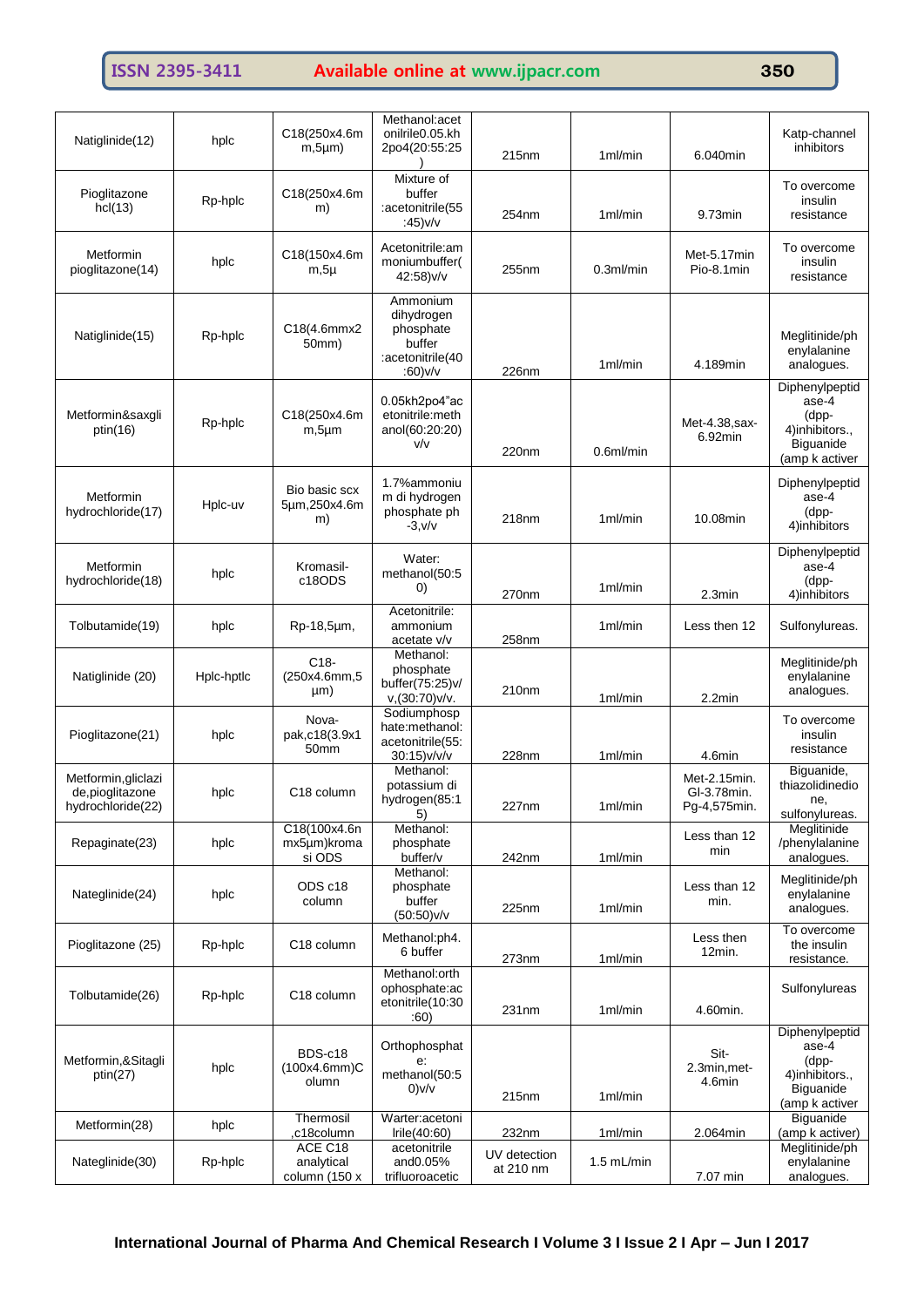# **ISSN 2395-3411 Available online at www.ijpacr.com 350**

| Natiglinide(12)                                              | hplc       | C18(250x4.6m<br>$m, 5\mu m)$               | Methanol:acet<br>onilrile0.05.kh<br>2po4(20:55:25                            | 215 <sub>nm</sub>         | $1m$ /min    | 6.040min                                    | Katp-channel<br>inhibitors                                                        |
|--------------------------------------------------------------|------------|--------------------------------------------|------------------------------------------------------------------------------|---------------------------|--------------|---------------------------------------------|-----------------------------------------------------------------------------------|
| Pioglitazone<br>hcl(13)                                      | Rp-hplc    | C18(250x4.6m<br>m)                         | Mixture of<br>buffer<br>:acetonitrile(55<br>:45) $v/v$                       | 254 <sub>nm</sub>         | $1m$ /min    | 9.73min                                     | To overcome<br>insulin<br>resistance                                              |
| Metformin<br>pioglitazone(14)                                | hplc       | C18(150x4.6m<br>$m, 5\mu$                  | Acetonitrile:am<br>moniumbuffer(<br>42:58)v/v                                | 255nm                     | $0.3$ ml/min | Met-5.17min<br>Pio-8.1min                   | To overcome<br>insulin<br>resistance                                              |
| Natiglinide(15)                                              | Rp-hplc    | C18(4.6mmx2<br>50mm)                       | Ammonium<br>dihydrogen<br>phosphate<br>buffer<br>:acetonitrile(40<br>:60)v/v | 226nm                     | 1ml/min      | 4.189min                                    | Meglitinide/ph<br>enylalanine<br>analogues.                                       |
| Metformin&saxgli<br>ptin(16)                                 | Rp-hplc    | C18(250x4.6m<br>$m, 5 \mu m$               | 0.05kh2po4"ac<br>etonitrile:meth<br>anol(60:20:20)<br>V/V                    | 220nm                     | 0.6ml/min    | Met-4.38, sax-<br>6.92min                   | Diphenylpeptid<br>ase-4<br>(dpp-<br>4)inhibitors.,<br>Biguanide<br>(amp k activer |
| Metformin<br>hydrochloride(17)                               | Hplc-uv    | Bio basic scx<br>5µm,250x4.6m<br>m)        | 1.7%ammoniu<br>m di hydrogen<br>phosphate ph<br>$-3, v/v$                    | 218nm                     | 1ml/min      | 10.08min                                    | Diphenylpeptid<br>ase-4<br>(dpp-<br>4)inhibitors                                  |
| Metformin<br>hydrochloride(18)                               | hplc       | Kromasil-<br>c18ODS                        | Water:<br>methanol(50:5<br>$\left( 0\right)$                                 | 270nm                     | 1ml/min      | 2.3min                                      | Diphenylpeptid<br>ase-4<br>(dpp-<br>4)inhibitors                                  |
| Tolbutamide(19)                                              | hplc       | Rp-18,5µm,                                 | Acetonitrile:<br>ammonium<br>acetate v/v                                     | 258nm                     | 1ml/min      | Less then 12                                | Sulfonylureas.                                                                    |
| Natiglinide (20)                                             | Hplc-hptlc | $C18-$<br>(250x4.6mm,5<br>µm)              | Methanol:<br>phosphate<br>buffer(75:25)v/<br>$v$ , (30:70) $v/v$ .           | 210nm                     | 1ml/min      | 2.2min                                      | Meglitinide/ph<br>enylalanine<br>analogues.                                       |
| Pioglitazone(21)                                             | hplc       | Nova-<br>pak,c18(3.9x1<br>50 <sub>mm</sub> | Sodiumphosp<br>hate:methanol:<br>acetonitrile(55:<br>30:15)v/v/v             | 228nm                     | 1ml/min      | 4.6min                                      | To overcome<br>insulin<br>resistance                                              |
| Metformin, gliclazi<br>de, pioglitazone<br>hydrochloride(22) | hplc       | C18 column                                 | Methanol:<br>potassium di<br>hydrogen(85:1<br>5)                             | 227nm                     | 1ml/min      | Met-2.15min.<br>GI-3.78min.<br>Pg-4,575min. | Biguanide,<br>thiazolidinedio<br>ne,<br>sulfonylureas.                            |
| Repaginate(23)                                               | hplc       | C18(100x4.6n<br>mx5µm)kroma<br>si ODS      | Methanol:<br>phosphate<br>buffer/v                                           | 242nm                     | 1ml/min      | Less than 12<br>min                         | Meglitinide<br>/phenylalanine<br>analogues.                                       |
| Nateglinide(24)                                              | hplc       | ODS c18<br>column                          | Methanol:<br>phosphate<br>buffer<br>$(50:50)$ v/v                            | 225nm                     | 1ml/min      | Less than 12<br>min.                        | Meglitinide/ph<br>enylalanine<br>analogues.                                       |
| Pioglitazone (25)                                            | Rp-hplc    | C18 column                                 | Methanol:ph4.<br>6 buffer                                                    | 273nm                     | 1ml/min      | Less then<br>12min.                         | To overcome<br>the insulin<br>resistance.                                         |
| Tolbutamide(26)                                              | Rp-hplc    | C <sub>18</sub> column                     | Methanol:orth<br>ophosphate:ac<br>etonitrile(10:30<br>:60)                   | 231nm                     | 1ml/min      | 4.60min.                                    | Sulfonylureas                                                                     |
| Metformin, & Sitagli<br>ptin(27)                             | hplc       | BDS-c18<br>$(100x4.6mm)$ C<br>olumn        | Orthophosphat<br>e:<br>methanol(50:5<br>0)v/v                                | 215nm                     | 1ml/min      | Sit-<br>2.3min, met-<br>4.6min              | Diphenylpeptid<br>ase-4<br>(dpp-<br>4)inhibitors.,<br>Biguanide<br>(amp k activer |
| Metformin(28)                                                | hplc       | Thermosil<br>,c18column                    | Warter:acetoni<br>Irie(40:60)                                                | 232nm                     | 1ml/min      | 2.064min                                    | Biguanide<br>(amp k activer)                                                      |
| Nateglinide(30)                                              | Rp-hplc    | ACE C18<br>analytical<br>column (150 x     | acetonitrile<br>and0.05%<br>trifluoroacetic                                  | UV detection<br>at 210 nm | $1.5$ mL/min | 7.07 min                                    | Meglitinide/ph<br>enylalanine<br>analogues.                                       |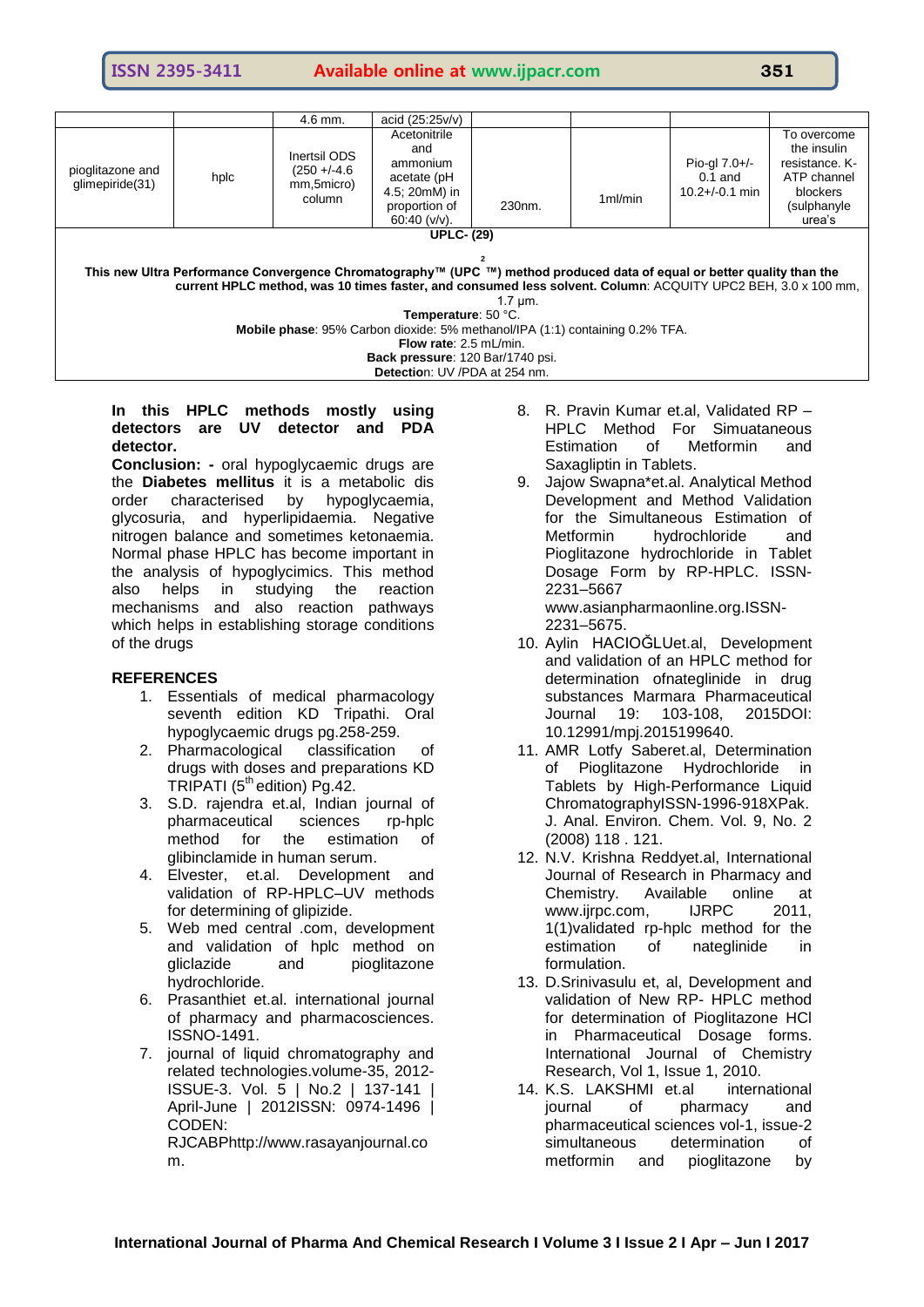### **ISSN 2395-3411 Available online at www.ijpacr.com 351**

|                                                                                                                                                                                                                                                          |                   | $4.6$ mm.                                              | acid $(25.25v/v)$                                                                                    |                     |           |                                                     |                                                                                                  |  |
|----------------------------------------------------------------------------------------------------------------------------------------------------------------------------------------------------------------------------------------------------------|-------------------|--------------------------------------------------------|------------------------------------------------------------------------------------------------------|---------------------|-----------|-----------------------------------------------------|--------------------------------------------------------------------------------------------------|--|
| pioglitazone and<br>glimepiride(31)                                                                                                                                                                                                                      | hplc              | Inertsil ODS<br>$(250 + -4.6)$<br>mm,5micro)<br>column | Acetonitrile<br>and<br>ammonium<br>acetate (pH<br>4.5; 20mM) in<br>proportion of<br>60:40 ( $v/v$ ). | 230 <sub>nm</sub> . | $1m$ /min | Pio-gl $7.0+/-$<br>$0.1$ and<br>$10.2 + (-0.1)$ min | To overcome<br>the insulin<br>resistance. K-<br>ATP channel<br>blockers<br>(sulphanyle<br>urea's |  |
|                                                                                                                                                                                                                                                          | <b>UPLC- (29)</b> |                                                        |                                                                                                      |                     |           |                                                     |                                                                                                  |  |
|                                                                                                                                                                                                                                                          |                   |                                                        |                                                                                                      |                     |           |                                                     |                                                                                                  |  |
| This new Ultra Performance Convergence Chromatography™ (UPC ™) method produced data of equal or better quality than the<br>current HPLC method, was 10 times faster, and consumed less solvent. Column: ACQUITY UPC2 BEH, 3.0 x 100 mm,<br>$1.7 \mu m$ . |                   |                                                        |                                                                                                      |                     |           |                                                     |                                                                                                  |  |
| Temperature: 50 °C.                                                                                                                                                                                                                                      |                   |                                                        |                                                                                                      |                     |           |                                                     |                                                                                                  |  |
| Mobile phase: 95% Carbon dioxide: 5% methanol/IPA (1:1) containing 0.2% TFA.                                                                                                                                                                             |                   |                                                        |                                                                                                      |                     |           |                                                     |                                                                                                  |  |
| Flow rate: 2.5 mL/min.                                                                                                                                                                                                                                   |                   |                                                        |                                                                                                      |                     |           |                                                     |                                                                                                  |  |
| Back pressure: 120 Bar/1740 psi.                                                                                                                                                                                                                         |                   |                                                        |                                                                                                      |                     |           |                                                     |                                                                                                  |  |
| Detection: UV /PDA at 254 nm.                                                                                                                                                                                                                            |                   |                                                        |                                                                                                      |                     |           |                                                     |                                                                                                  |  |

#### **In this HPLC methods mostly using detectors are UV detector and PDA detector.**

**Conclusion: -** oral hypoglycaemic drugs are the **Diabetes mellitus** it is a metabolic dis order characterised by hypoglycaemia, glycosuria, and hyperlipidaemia. Negative nitrogen balance and sometimes ketonaemia. Normal phase HPLC has become important in the analysis of hypoglycimics. This method also helps in studying the reaction mechanisms and also reaction pathways which helps in establishing storage conditions of the drugs

#### **REFERENCES**

- 1. Essentials of medical pharmacology seventh edition KD Tripathi. Oral hypoglycaemic drugs pg.258-259.
- 2. Pharmacological classification of drugs with doses and preparations KD TRIPATI ( $5^{\text{m}}$  edition) Pg.42.
- 3. S.D. rajendra et.al, Indian journal of pharmaceutical sciences rp-hplc method for the estimation of glibinclamide in human serum.
- 4. Elvester, et.al. Development and validation of RP-HPLC–UV methods for determining of glipizide.
- 5. Web med central .com, development and validation of hplc method on gliclazide and pioglitazone hydrochloride.
- 6. Prasanthiet et.al. international journal of pharmacy and pharmacosciences. ISSNO-1491.
- 7. journal of liquid chromatography and related technologies.volume-35, 2012- ISSUE-3. Vol. 5 | No.2 | 137-141 | April-June | 2012ISSN: 0974-1496 | CODEN:

RJCABPhttp://www.rasayanjournal.co m.

- 8. R. Pravin Kumar et.al, Validated RP HPLC Method For Simuataneous Estimation of Metformin and Saxagliptin in Tablets.
- 9. Jajow Swapna\*et.al. Analytical Method Development and Method Validation for the Simultaneous Estimation of Metformin hydrochloride and Pioglitazone hydrochloride in Tablet Dosage Form by RP-HPLC. ISSN-2231–5667 www.asianpharmaonline.org.ISSN-

2231–5675.

- 10. Aylin HACIOĞLUet.al, Development and validation of an HPLC method for determination ofnateglinide in drug substances Marmara Pharmaceutical Journal 19: 103-108, 2015DOI: 10.12991/mpj.2015199640.
- 11. AMR Lotfy Saberet.al, Determination of Pioglitazone Hydrochloride in Tablets by High-Performance Liquid ChromatographyISSN-1996-918XPak. J. Anal. Environ. Chem. Vol. 9, No. 2 (2008) 118 . 121.
- 12. N.V. Krishna Reddyet.al, International Journal of Research in Pharmacy and Chemistry. Available online at www.iirpc.com. IJRPC 2011. 1(1)validated rp-hplc method for the estimation of nateglinide in formulation.
- 13. D.Srinivasulu et, al, Development and validation of New RP- HPLC method for determination of Pioglitazone HCl in Pharmaceutical Dosage forms. International Journal of Chemistry Research, Vol 1, Issue 1, 2010.
- 14. K.S. LAKSHMI et.al international journal of pharmacy and pharmaceutical sciences vol-1, issue-2 simultaneous determination of metformin and pioglitazone by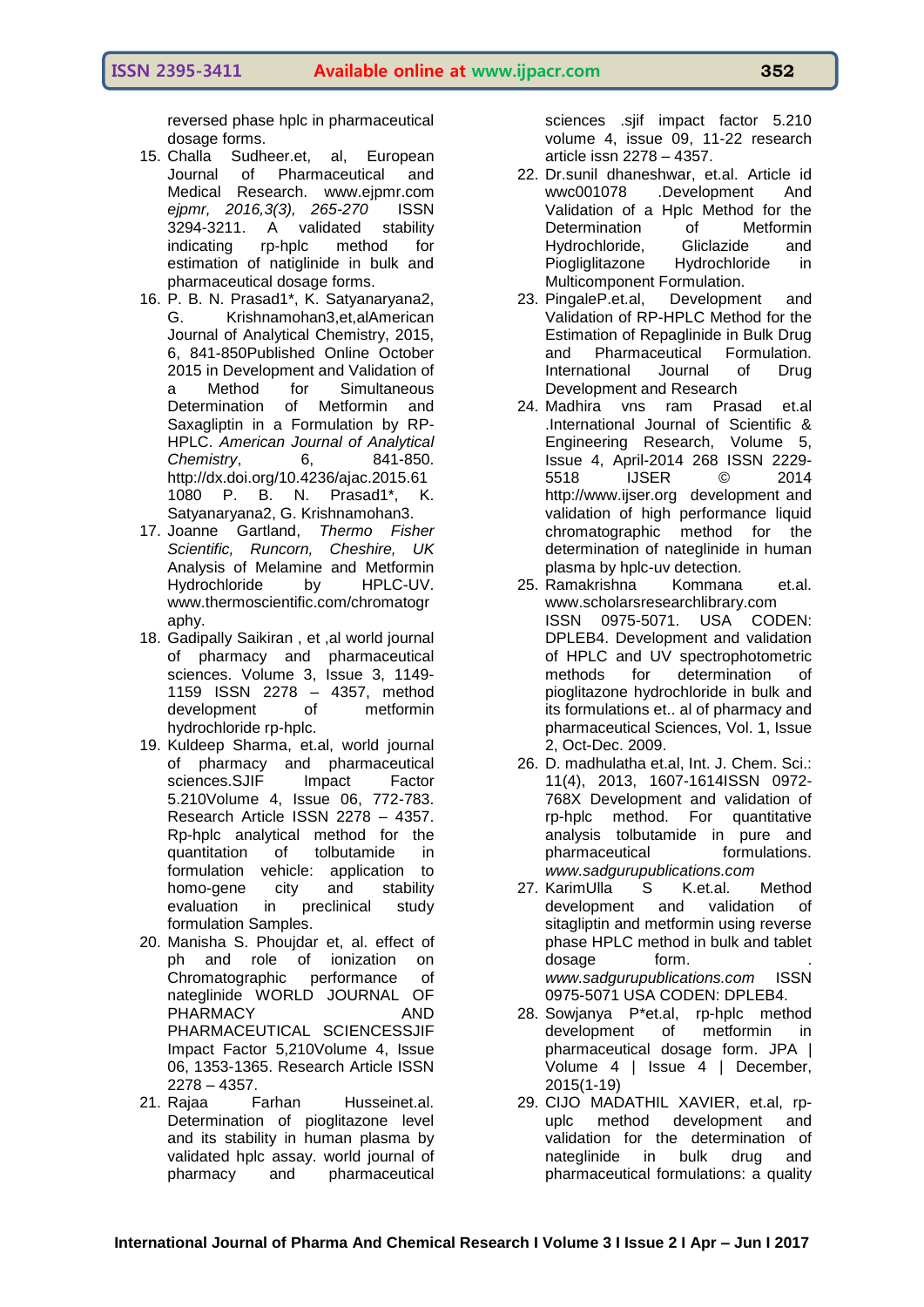reversed phase hplc in pharmaceutical dosage forms.

- 15. Challa Sudheer.et, al, European Journal of Pharmaceutical and Medical Research. www.ejpmr.com *ejpmr, 2016,3(3), 265-270* ISSN 3294-3211. A validated stability indicating rp-hplc method for estimation of natiglinide in bulk and pharmaceutical dosage forms.
- 16. P. B. N. Prasad1\*, K. Satyanaryana2, G. Krishnamohan3,et,alAmerican Journal of Analytical Chemistry, 2015, 6, 841-850Published Online October 2015 in Development and Validation of a Method for Simultaneous Determination of Metformin and Saxagliptin in a Formulation by RP-HPLC. *American Journal of Analytical Chemistry*, 6, 841-850. [http://dx.doi.org/10.4236/ajac.2015.61](http://dx.doi.org/10.4236/ajac.2015.611080) [1080](http://dx.doi.org/10.4236/ajac.2015.611080) P. B. N. Prasad1\*, K. Satyanaryana2, G. Krishnamohan3.
- 17. Joanne Gartland, *Thermo Fisher Scientific, Runcorn, Cheshire, UK* Analysis of Melamine and Metformin Hydrochloride by HPLC-UV. [www.thermoscientific.com/chromatogr](http://www.thermoscientific.com/chromatography) [aphy.](http://www.thermoscientific.com/chromatography)
- 18. Gadipally Saikiran , et ,al world journal of pharmacy and pharmaceutical sciences. Volume 3, Issue 3, 1149- 1159 ISSN 2278 – 4357, method development of metformin hydrochloride rp-hplc.
- 19. Kuldeep Sharma, et.al, world journal of pharmacy and pharmaceutical sciences.SJIF Impact Factor 5.210Volume 4, Issue 06, 772-783. Research Article ISSN 2278 – 4357. Rp-hplc analytical method for the quantitation of tolbutamide in formulation vehicle: application to homo-gene city and stability evaluation in preclinical study formulation Samples.
- 20. Manisha S. Phoujdar et, al. effect of ph and role of ionization on Chromatographic performance of nateglinide WORLD JOURNAL OF PHARMACY AND PHARMACEUTICAL SCIENCESSJIF Impact Factor 5,210Volume 4, Issue 06, 1353-1365. Research Article ISSN 2278 – 4357.
- 21. Rajaa Farhan Husseinet.al. Determination of pioglitazone level and its stability in human plasma by validated hplc assay. world journal of pharmacy and pharmaceutical

sciences .sjif impact factor 5.210 volume 4, issue 09, 11-22 research article issn 2278 – 4357.

- 22. Dr.sunil dhaneshwar, et.al. Article id wwc001078 .Development And Validation of a Hplc Method for the Determination of Metformin Hydrochloride, Gliclazide and Piogliglitazone Hydrochloride in Multicomponent Formulation.
- 23. PingaleP.et.al, Development and Validation of RP-HPLC Method for the Estimation of Repaglinide in Bulk Drug and Pharmaceutical Formulation. [International Journal of Drug](http://www.ijddr.in/archive.php)  [Development and Research](http://www.ijddr.in/archive.php)
- 24. Madhira vns ram Prasad et.al .International Journal of Scientific & Engineering Research, Volume 5, Issue 4, April-2014 268 ISSN 2229- 5518 IJSER © 2014 http://www.ijser.org development and validation of high performance liquid chromatographic method for the determination of nateglinide in human plasma by hplc-uv detection.
- 25. Ramakrishna Kommana et.al. www.scholarsresearchlibrary.com ISSN 0975-5071. USA CODEN: DPLEB4. Development and validation of HPLC and UV spectrophotometric methods for determination of pioglitazone hydrochloride in bulk and its formulations et.. al of pharmacy and pharmaceutical Sciences, Vol. 1, Issue 2, Oct-Dec. 2009.
- 26. D. madhulatha et.al, Int. J. Chem. Sci.: 11(4), 2013, 1607-1614ISSN 0972- 768X Development and validation of rp-hplc method. For quantitative analysis tolbutamide in pure and pharmaceutical formulations. *www.sadgurupublications.com*
- 27. KarimUlla S K.et.al. Method development and validation of sitagliptin and metformin using reverse phase HPLC method in bulk and tablet dosage form. *www.sadgurupublications.com* ISSN 0975-5071 USA CODEN: DPLEB4.
- 28. Sowjanya P\*et.al, rp-hplc method development of metformin in pharmaceutical dosage form. JPA | Volume 4 | Issue 4 | December, 2015(1-19)
- 29. CIJO MADATHIL XAVIER, et.al, rpuplc method development and validation for the determination of nateglinide in bulk drug and pharmaceutical formulations: a quality